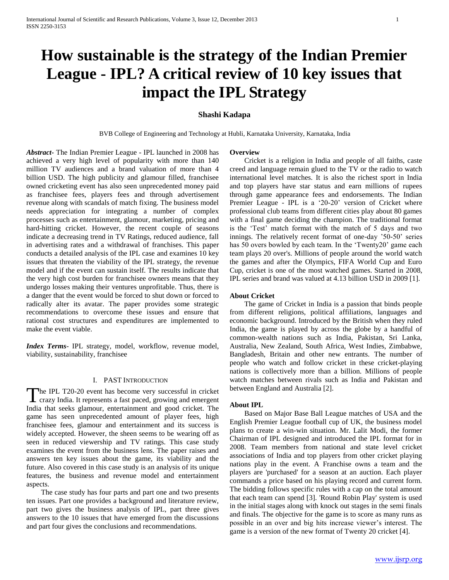# **How sustainable is the strategy of the Indian Premier League - IPL? A critical review of 10 key issues that impact the IPL Strategy**

# **Shashi Kadapa**

BVB College of Engineering and Technology at Hubli, Karnataka University, Karnataka, India

**Overview**

*Abstract***-** The Indian Premier League - IPL launched in 2008 has achieved a very high level of popularity with more than 140 million TV audiences and a brand valuation of more than 4 billion USD. The high publicity and glamour filled, franchisee owned cricketing event has also seen unprecedented money paid as franchisee fees, players fees and through advertisement revenue along with scandals of match fixing. The business model needs appreciation for integrating a number of complex processes such as entertainment, glamour, marketing, pricing and hard-hitting cricket. However, the recent couple of seasons indicate a decreasing trend in TV Ratings, reduced audience, fall in advertising rates and a withdrawal of franchises. This paper conducts a detailed analysis of the IPL case and examines 10 key issues that threaten the viability of the IPL strategy, the revenue model and if the event can sustain itself. The results indicate that the very high cost burden for franchisee owners means that they undergo losses making their ventures unprofitable. Thus, there is a danger that the event would be forced to shut down or forced to radically alter its avatar. The paper provides some strategic recommendations to overcome these issues and ensure that rational cost structures and expenditures are implemented to make the event viable.

*Index Terms*- IPL strategy, model, workflow, revenue model, viability, sustainability, franchisee

#### I. PAST INTRODUCTION

he IPL T20-20 event has become very successful in cricket crazy India. It represents a fast paced, growing and emergent The IPL T20-20 event has become very successful in cricket crazy India. It represents a fast paced, growing and emergent India that seeks glamour, entertainment and good cricket. The game has seen unprecedented amount of player fees, high franchisee fees, glamour and entertainment and its success is widely accepted. However, the sheen seems to be wearing off as seen in reduced viewership and TV ratings. This case study examines the event from the business lens. The paper raises and answers ten key issues about the game, its viability and the future. Also covered in this case study is an analysis of its unique features, the business and revenue model and entertainment aspects.

 The case study has four parts and part one and two presents ten issues. Part one provides a background and literature review, part two gives the business analysis of IPL, part three gives answers to the 10 issues that have emerged from the discussions and part four gives the conclusions and recommendations.

 Cricket is a religion in India and people of all faiths, caste creed and language remain glued to the TV or the radio to watch international level matches. It is also the richest sport in India and top players have star status and earn millions of rupees through game appearance fees and endorsements. The Indian Premier League - IPL is a '20-20' version of Cricket where professional club teams from different cities play about 80 games with a final game deciding the champion. The traditional format is the 'Test' match format with the match of 5 days and two innings. The relatively recent format of one-day '50-50' series has 50 overs bowled by each team. In the 'Twenty20' game each team plays 20 over's. Millions of people around the world watch the games and after the Olympics, FIFA World Cup and Euro Cup, cricket is one of the most watched games. Started in 2008, IPL series and brand was valued at 4.13 billion USD in 2009 [1].

## **About Cricket**

 The game of Cricket in India is a passion that binds people from different religions, political affiliations, languages and economic background. Introduced by the British when they ruled India, the game is played by across the globe by a handful of common-wealth nations such as India, Pakistan, Sri Lanka, Australia, New Zealand, South Africa, West Indies, Zimbabwe, Bangladesh, Britain and other new entrants. The number of people who watch and follow cricket in these cricket-playing nations is collectively more than a billion. Millions of people watch matches between rivals such as India and Pakistan and between England and Australia [2].

#### **About IPL**

 Based on Major Base Ball League matches of USA and the English Premier League football cup of UK, the business model plans to create a win-win situation. Mr. Lalit Modi, the former Chairman of IPL designed and introduced the IPL format for in 2008. Team members from national and state level cricket associations of India and top players from other cricket playing nations play in the event. A Franchise owns a team and the players are 'purchased' for a season at an auction. Each player commands a price based on his playing record and current form. The bidding follows specific rules with a cap on the total amount that each team can spend [3]. 'Round Robin Play' system is used in the initial stages along with knock out stages in the semi finals and finals. The objective for the game is to score as many runs as possible in an over and big hits increase viewer's interest. The game is a version of the new format of Twenty 20 cricket [4].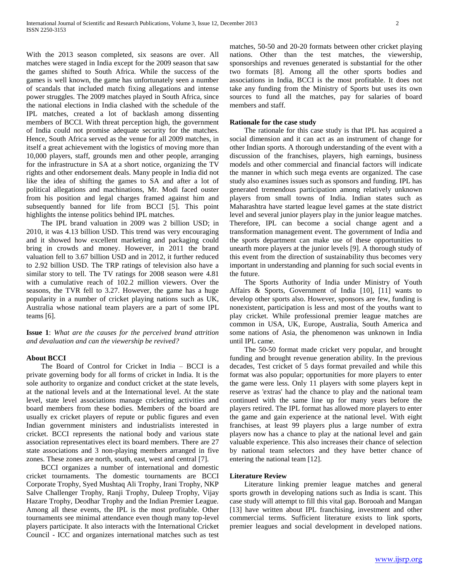With the 2013 season completed, six seasons are over. All matches were staged in India except for the 2009 season that saw the games shifted to South Africa. While the success of the games is well known, the game has unfortunately seen a number of scandals that included match fixing allegations and intense power struggles. The 2009 matches played in South Africa, since the national elections in India clashed with the schedule of the IPL matches, created a lot of backlash among dissenting members of BCCI. With threat perception high, the government of India could not promise adequate security for the matches. Hence, South Africa served as the venue for all 2009 matches, in itself a great achievement with the logistics of moving more than 10,000 players, staff, grounds men and other people, arranging for the infrastructure in SA at a short notice, organizing the TV rights and other endorsement deals. Many people in India did not like the idea of shifting the games to SA and after a lot of political allegations and machinations, Mr. Modi faced ouster from his position and legal charges framed against him and subsequently banned for life from BCCI [5]. This point highlights the intense politics behind IPL matches.

 The IPL brand valuation in 2009 was 2 billion USD; in 2010, it was 4.13 billion USD. This trend was very encouraging and it showed how excellent marketing and packaging could bring in crowds and money. However, in 2011 the brand valuation fell to 3.67 billion USD and in 2012, it further reduced to 2.92 billion USD. The TRP ratings of television also have a similar story to tell. The TV ratings for 2008 season were 4.81 with a cumulative reach of 102.2 million viewers. Over the seasons, the TVR fell to 3.27. However, the game has a huge popularity in a number of cricket playing nations such as UK, Australia whose national team players are a part of some IPL teams [6].

**Issue 1**: *What are the causes for the perceived brand attrition and devaluation and can the viewership be revived?*

# **About BCCI**

 The Board of Control for Cricket in India – BCCI is a private governing body for all forms of cricket in India. It is the sole authority to organize and conduct cricket at the state levels, at the national levels and at the International level. At the state level, state level associations manage cricketing activities and board members from these bodies. Members of the board are usually ex cricket players of repute or public figures and even Indian government ministers and industrialists interested in cricket. BCCI represents the national body and various state association representatives elect its board members. There are 27 state associations and 3 non-playing members arranged in five zones. These zones are north, south, east, west and central [7].

 BCCI organizes a number of international and domestic cricket tournaments. The domestic tournaments are BCCI Corporate Trophy, Syed Mushtaq Ali Trophy, Irani Trophy, NKP Salve Challenger Trophy, Ranji Trophy, Duleep Trophy, Vijay Hazare Trophy, Deodhar Trophy and the Indian Premier League. Among all these events, the IPL is the most profitable. Other tournaments see minimal attendance even though many top-level players participate. It also interacts with the International Cricket Council - ICC and organizes international matches such as test

matches, 50-50 and 20-20 formats between other cricket playing nations. Other than the test matches, the viewership, sponsorships and revenues generated is substantial for the other two formats [8]. Among all the other sports bodies and associations in India, BCCI is the most profitable. It does not take any funding from the Ministry of Sports but uses its own sources to fund all the matches, pay for salaries of board members and staff.

#### **Rationale for the case study**

 The rationale for this case study is that IPL has acquired a social dimension and it can act as an instrument of change for other Indian sports. A thorough understanding of the event with a discussion of the franchises, players, high earnings, business models and other commercial and financial factors will indicate the manner in which such mega events are organized. The case study also examines issues such as sponsors and funding. IPL has generated tremendous participation among relatively unknown players from small towns of India. Indian states such as Maharashtra have started league level games at the state district level and several junior players play in the junior league matches. Therefore, IPL can become a social change agent and a transformation management event. The government of India and the sports department can make use of these opportunities to unearth more players at the junior levels [9]. A thorough study of this event from the direction of sustainability thus becomes very important in understanding and planning for such social events in the future.

 The Sports Authority of India under Ministry of Youth Affairs & Sports, Government of India [10], [11] wants to develop other sports also. However, sponsors are few, funding is nonexistent, participation is less and most of the youths want to play cricket. While professional premier league matches are common in USA, UK, Europe, Australia, South America and some nations of Asia, the phenomenon was unknown in India until IPL came.

 The 50-50 format made cricket very popular, and brought funding and brought revenue generation ability. In the previous decades, Test cricket of 5 days format prevailed and while this format was also popular; opportunities for more players to enter the game were less. Only 11 players with some players kept in reserve as 'extras' had the chance to play and the national team continued with the same line up for many years before the players retired. The IPL format has allowed more players to enter the game and gain experience at the national level. With eight franchises, at least 99 players plus a large number of extra players now has a chance to play at the national level and gain valuable experience. This also increases their chance of selection by national team selectors and they have better chance of entering the national team [12].

## **Literature Review**

 Literature linking premier league matches and general sports growth in developing nations such as India is scant. This case study will attempt to fill this vital gap. Borooah and Mangan [13] have written about IPL franchising, investment and other commercial terms. Sufficient literature exists to link sports, premier leagues and social development in developed nations.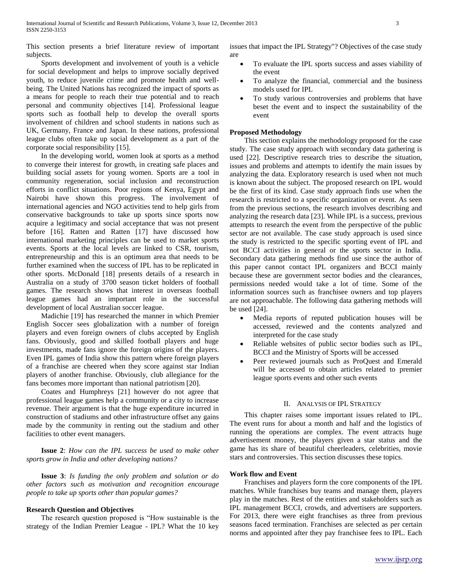This section presents a brief literature review of important subjects.

 Sports development and involvement of youth is a vehicle for social development and helps to improve socially deprived youth, to reduce juvenile crime and promote health and wellbeing. The United Nations has recognized the impact of sports as a means for people to reach their true potential and to reach personal and community objectives [14]. Professional league sports such as football help to develop the overall sports involvement of children and school students in nations such as UK, Germany, France and Japan. In these nations, professional league clubs often take up social development as a part of the corporate social responsibility [15].

 In the developing world, women look at sports as a method to converge their interest for growth, in creating safe places and building social assets for young women. Sports are a tool in community regeneration, social inclusion and reconstruction efforts in conflict situations. Poor regions of Kenya, Egypt and Nairobi have shown this progress. The involvement of international agencies and NGO activities tend to help girls from conservative backgrounds to take up sports since sports now acquire a legitimacy and social acceptance that was not present before [16]. Ratten and Ratten [17] have discussed how international marketing principles can be used to market sports events. Sports at the local levels are linked to CSR, tourism, entrepreneurship and this is an optimum area that needs to be further examined when the success of IPL has to be replicated in other sports. McDonald [18] presents details of a research in Australia on a study of 3700 season ticket holders of football games. The research shows that interest in overseas football league games had an important role in the successful development of local Australian soccer league.

 Madichie [19] has researched the manner in which Premier English Soccer sees globalization with a number of foreign players and even foreign owners of clubs accepted by English fans. Obviously, good and skilled football players and huge investments, made fans ignore the foreign origins of the players. Even IPL games of India show this pattern where foreign players of a franchise are cheered when they score against star Indian players of another franchise. Obviously, club allegiance for the fans becomes more important than national patriotism [20].

 Coates and Humphreys [21] however do not agree that professional league games help a community or a city to increase revenue. Their argument is that the huge expenditure incurred in construction of stadiums and other infrastructure offset any gains made by the community in renting out the stadium and other facilities to other event managers.

 **Issue 2**: *How can the IPL success be used to make other sports grow in India and other developing nations?*

 **Issue 3**: *Is funding the only problem and solution or do other factors such as motivation and recognition encourage people to take up sports other than popular games?*

## **Research Question and Objectives**

 The research question proposed is "How sustainable is the strategy of the Indian Premier League - IPL? What the 10 key issues that impact the IPL Strategy"? Objectives of the case study are

- To evaluate the IPL sports success and asses viability of the event
- To analyze the financial, commercial and the business models used for IPL
- To study various controversies and problems that have beset the event and to inspect the sustainability of the event

## **Proposed Methodology**

 This section explains the methodology proposed for the case study. The case study approach with secondary data gathering is used [22]. Descriptive research tries to describe the situation, issues and problems and attempts to identify the main issues by analyzing the data. Exploratory research is used when not much is known about the subject. The proposed research on IPL would be the first of its kind. Case study approach finds use when the research is restricted to a specific organization or event. As seen from the previous sections, the research involves describing and analyzing the research data [23]. While IPL is a success, previous attempts to research the event from the perspective of the public sector are not available. The case study approach is used since the study is restricted to the specific sporting event of IPL and not BCCI activities in general or the sports sector in India. Secondary data gathering methods find use since the author of this paper cannot contact IPL organizers and BCCI mainly because these are government sector bodies and the clearances, permissions needed would take a lot of time. Some of the information sources such as franchisee owners and top players are not approachable. The following data gathering methods will be used [24].

- Media reports of reputed publication houses will be accessed, reviewed and the contents analyzed and interpreted for the case study
- Reliable websites of public sector bodies such as IPL, BCCI and the Ministry of Sports will be accessed
- Peer reviewed journals such as ProQuest and Emerald will be accessed to obtain articles related to premier league sports events and other such events

## II. ANALYSIS OF IPL STRATEGY

 This chapter raises some important issues related to IPL. The event runs for about a month and half and the logistics of running the operations are complex. The event attracts huge advertisement money, the players given a star status and the game has its share of beautiful cheerleaders, celebrities, movie stars and controversies. This section discusses these topics.

## **Work flow and Event**

 Franchises and players form the core components of the IPL matches. While franchises buy teams and manage them, players play in the matches. Rest of the entities and stakeholders such as IPL management BCCI, crowds, and advertisers are supporters. For 2013, there were eight franchises as three from previous seasons faced termination. Franchises are selected as per certain norms and appointed after they pay franchisee fees to IPL. Each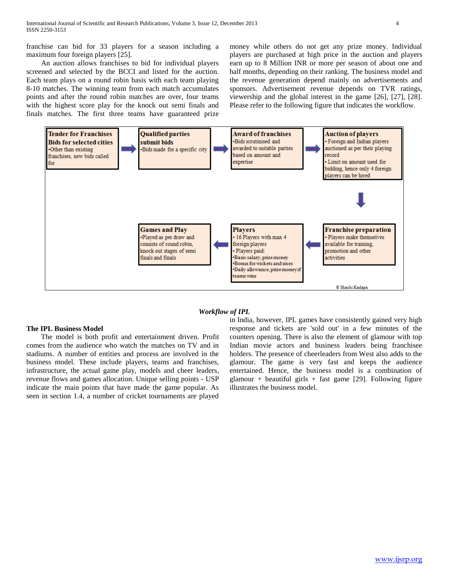franchise can bid for 33 players for a season including a maximum four foreign players [25].

 An auction allows franchises to bid for individual players screened and selected by the BCCI and listed for the auction. Each team plays on a round robin basis with each team playing 8-10 matches. The winning team from each match accumulates points and after the round robin matches are over, four teams with the highest score play for the knock out semi finals and finals matches. The first three teams have guaranteed prize

money while others do not get any prize money. Individual players are purchased at high price in the auction and players earn up to 8 Million INR or more per season of about one and half months, depending on their ranking. The business model and the revenue generation depend mainly on advertisements and sponsors. Advertisement revenue depends on TVR ratings, viewership and the global interest in the game [26], [27], [28]. Please refer to the following figure that indicates the workflow.





### **The IPL Business Model**

 The model is both profit and entertainment driven. Profit comes from the audience who watch the matches on TV and in stadiums. A number of entities and process are involved in the business model. These include players, teams and franchises, infrastructure, the actual game play, models and cheer leaders, revenue flows and games allocation. Unique selling points - USP indicate the main points that have made the game popular. As seen in section 1.4, a number of cricket tournaments are played

in India, however, IPL games have consistently gained very high response and tickets are 'sold out' in a few minutes of the counters opening. There is also the element of glamour with top Indian movie actors and business leaders being franchisee holders. The presence of cheerleaders from West also adds to the glamour. The game is very fast and keeps the audience entertained. Hence, the business model is a combination of glamour + beautiful girls + fast game [29]. Following figure illustrates the business model.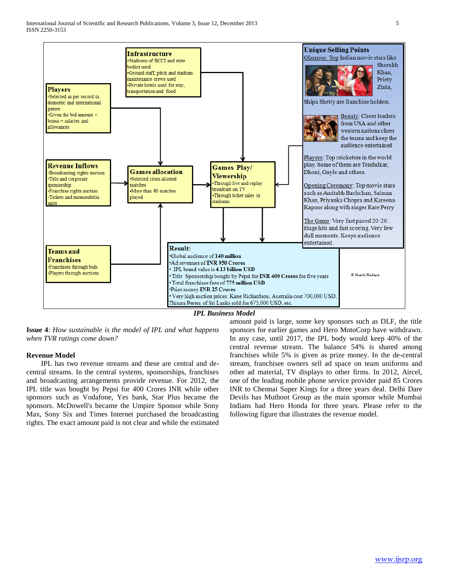

*IPL Business Model*

**Issue 4**: *How sustainable is the model of IPL and what happens when TVR ratings come down?*

## **Revenue Model**

 IPL has two revenue streams and these are central and decentral streams. In the central systems, sponsorships, franchises and broadcasting arrangements provide revenue. For 2012, the IPL title was bought by Pepsi for 400 Crores INR while other sponsors such as Vodafone, Yes bank, Star Plus became the sponsors. McDowell's became the Umpire Sponsor while Sony Max, Sony Six and Times Internet purchased the broadcasting rights. The exact amount paid is not clear and while the estimated

amount paid is large, some key sponsors such as DLF, the title sponsors for earlier games and Hero MotoCorp have withdrawn. In any case, until 2017, the IPL body would keep 40% of the central revenue stream. The balance 54% is shared among franchises while 5% is given as prize money. In the de-central stream, franchisee owners sell ad space on team uniforms and other ad material, TV displays to other firms. In 2012, Aircel, one of the leading mobile phone service provider paid 85 Crores INR to Chennai Super Kings for a three years deal. Delhi Dare Devils has Muthoot Group as the main sponsor while Mumbai Indians had Hero Honda for three years. Please refer to the following figure that illustrates the revenue model.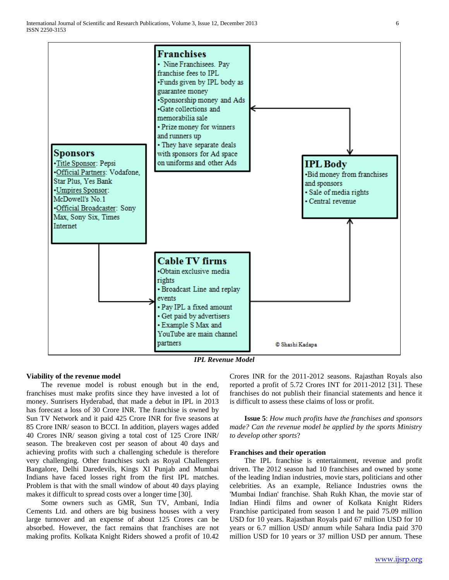

*IPL Revenue Model*

#### **Viability of the revenue model**

 The revenue model is robust enough but in the end, franchises must make profits since they have invested a lot of money. Sunrisers Hyderabad, that made a debut in IPL in 2013 has forecast a loss of 30 Crore INR. The franchise is owned by Sun TV Network and it paid 425 Crore INR for five seasons at 85 Crore INR/ season to BCCI. In addition, players wages added 40 Crores INR/ season giving a total cost of 125 Crore INR/ season. The breakeven cost per season of about 40 days and achieving profits with such a challenging schedule is therefore very challenging. Other franchises such as Royal Challengers Bangalore, Delhi Daredevils, Kings XI Punjab and Mumbai Indians have faced losses right from the first IPL matches. Problem is that with the small window of about 40 days playing makes it difficult to spread costs over a longer time [30].

 Some owners such as GMR, Sun TV, Ambani, India Cements Ltd. and others are big business houses with a very large turnover and an expense of about 125 Crores can be absorbed. However, the fact remains that franchises are not making profits. Kolkata Knight Riders showed a profit of 10.42 Crores INR for the 2011-2012 seasons. Rajasthan Royals also reported a profit of 5.72 Crores INT for 2011-2012 [31]. These franchises do not publish their financial statements and hence it is difficult to assess these claims of loss or profit.

 **Issue 5**: *How much profits have the franchises and sponsors made? Can the revenue model be applied by the sports Ministry to develop other sports*?

#### **Franchises and their operation**

 The IPL franchise is entertainment, revenue and profit driven. The 2012 season had 10 franchises and owned by some of the leading Indian industries, movie stars, politicians and other celebrities. As an example, Reliance Industries owns the 'Mumbai Indian' franchise. Shah Rukh Khan, the movie star of Indian Hindi films and owner of Kolkata Knight Riders Franchise participated from season 1 and he paid 75.09 million USD for 10 years. Rajasthan Royals paid 67 million USD for 10 years or 6.7 million USD/ annum while Sahara India paid 370 million USD for 10 years or 37 million USD per annum. These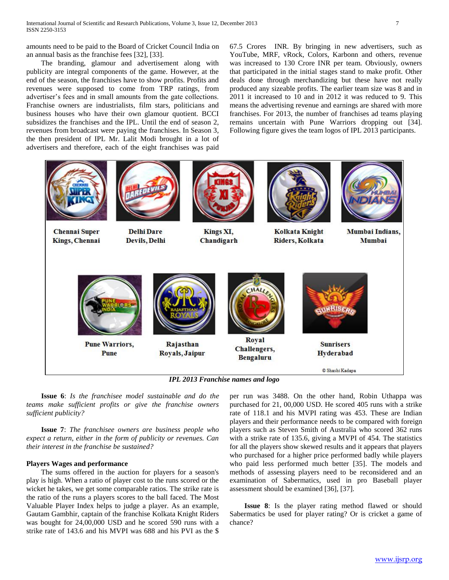amounts need to be paid to the Board of Cricket Council India on an annual basis as the franchise fees [32], [33].

 The branding, glamour and advertisement along with publicity are integral components of the game. However, at the end of the season, the franchises have to show profits. Profits and revenues were supposed to come from TRP ratings, from advertiser's fees and in small amounts from the gate collections. Franchise owners are industrialists, film stars, politicians and business houses who have their own glamour quotient. BCCI subsidizes the franchises and the IPL. Until the end of season 2, revenues from broadcast were paying the franchises. In Season 3, the then president of IPL Mr. Lalit Modi brought in a lot of advertisers and therefore, each of the eight franchises was paid

67.5 Crores INR. By bringing in new advertisers, such as YouTube, MRF, vRock, Colors, Karbonn and others, revenue was increased to 130 Crore INR per team. Obviously, owners that participated in the initial stages stand to make profit. Other deals done through merchandizing but these have not really produced any sizeable profits. The earlier team size was 8 and in 2011 it increased to 10 and in 2012 it was reduced to 9. This means the advertising revenue and earnings are shared with more franchises. For 2013, the number of franchises ad teams playing remains uncertain with Pune Warriors dropping out [34]. Following figure gives the team logos of IPL 2013 participants.



 **Issue 6**: *Is the franchisee model sustainable and do the teams make sufficient profits or give the franchise owners sufficient publicity?*

 **Issue 7**: *The franchisee owners are business people who expect a return, either in the form of publicity or revenues. Can their interest in the franchise be sustained?*

#### **Players Wages and performance**

 The sums offered in the auction for players for a season's play is high. When a ratio of player cost to the runs scored or the wicket he takes, we get some comparable ratios. The strike rate is the ratio of the runs a players scores to the ball faced. The Most Valuable Player Index helps to judge a player. As an example, Gautam Gambhir, captain of the franchise Kolkata Knight Riders was bought for 24,00,000 USD and he scored 590 runs with a strike rate of 143.6 and his MVPI was 688 and his PVI as the \$

per run was 3488. On the other hand, Robin Uthappa was purchased for 21, 00,000 USD. He scored 405 runs with a strike rate of 118.1 and his MVPI rating was 453. These are Indian players and their performance needs to be compared with foreign players such as Steven Smith of Australia who scored 362 runs with a strike rate of 135.6, giving a MVPI of 454. The statistics for all the players show skewed results and it appears that players who purchased for a higher price performed badly while players who paid less performed much better [35]. The models and methods of assessing players need to be reconsidered and an examination of Sabermatics, used in pro Baseball player assessment should be examined [36], [37].

 **Issue 8**: Is the player rating method flawed or should Sabermatics be used for player rating? Or is cricket a game of chance?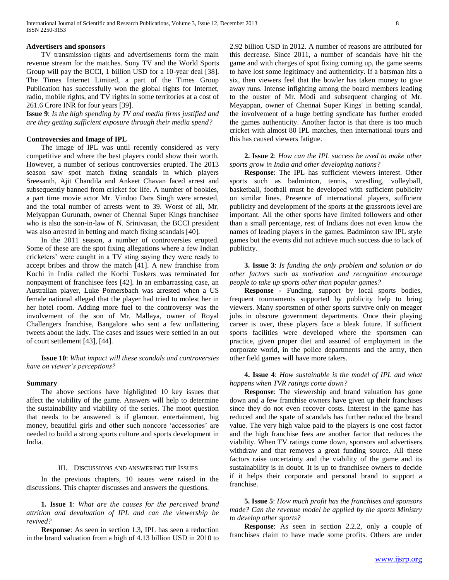## **Advertisers and sponsors**

 TV transmission rights and advertisements form the main revenue stream for the matches. Sony TV and the World Sports Group will pay the BCCI, 1 billion USD for a 10-year deal [38]. The Times Internet Limited, a part of the Times Group Publication has successfully won the global rights for Internet, radio, mobile rights, and TV rights in some territories at a cost of 261.6 Crore INR for four years [39].

**Issue 9**: *Is the high spending by TV and media firms justified and are they getting sufficient exposure through their media spend?*

## **Controversies and Image of IPL**

 The image of IPL was until recently considered as very competitive and where the best players could show their worth. However, a number of serious controversies erupted. The 2013 season saw spot match fixing scandals in which players Sreesanth, Ajit Chandila and Ankeet Chavan faced arrest and subsequently banned from cricket for life. A number of bookies, a part time movie actor Mr. Vindoo Dara Singh were arrested, and the total number of arrests went to 39. Worst of all, Mr. Meiyappan Gurunath, owner of Chennai Super Kings franchisee who is also the son-in-law of N. Srinivasan, the BCCI president was also arrested in betting and match fixing scandals [40].

 In the 2011 season, a number of controversies erupted. Some of these are the spot fixing allegations where a few Indian cricketers' were caught in a TV sting saying they were ready to accept bribes and throw the match [41]. A new franchise from Kochi in India called the Kochi Tuskers was terminated for nonpayment of franchisee fees [42]. In an embarrassing case, an Australian player, Luke Pomersbach was arrested when a US female national alleged that the player had tried to molest her in her hotel room. Adding more fuel to the controversy was the involvement of the son of Mr. Mallaya, owner of Royal Challengers franchise, Bangalore who sent a few unflattering tweets about the lady. The cases and issues were settled in an out of court settlement [43], [44].

 **Issue 10**: *What impact will these scandals and controversies have on viewer's perceptions?*

### **Summary**

 The above sections have highlighted 10 key issues that affect the viability of the game. Answers will help to determine the sustainability and viability of the series. The moot question that needs to be answered is if glamour, entertainment, big money, beautiful girls and other such noncore 'accessories' are needed to build a strong sports culture and sports development in India.

## III. DISCUSSIONS AND ANSWERING THE ISSUES

 In the previous chapters, 10 issues were raised in the discussions. This chapter discusses and answers the questions.

 **1. Issue 1**: *What are the causes for the perceived brand attrition and devaluation of IPL and can the viewership be revived?*

 **Response**: As seen in section 1.3, IPL has seen a reduction in the brand valuation from a high of 4.13 billion USD in 2010 to 2.92 billion USD in 2012. A number of reasons are attributed for this decrease. Since 2011, a number of scandals have hit the game and with charges of spot fixing coming up, the game seems to have lost some legitimacy and authenticity. If a batsman hits a six, then viewers feel that the bowler has taken money to give away runs. Intense infighting among the board members leading to the ouster of Mr. Modi and subsequent charging of Mr. Meyappan, owner of Chennai Super Kings' in betting scandal, the involvement of a huge betting syndicate has further eroded the games authenticity. Another factor is that there is too much cricket with almost 80 IPL matches, then international tours and this has caused viewers fatigue.

## **2. Issue 2**: *How can the IPL success be used to make other sports grow in India and other developing nations?*

 **Response**: The IPL has sufficient viewers interest. Other sports such as badminton, tennis, wrestling, volleyball, basketball, football must be developed with sufficient publicity on similar lines. Presence of international players, sufficient publicity and development of the sports at the grassroots level are important. All the other sports have limited followers and other than a small percentage, rest of Indians does not even know the names of leading players in the games. Badminton saw IPL style games but the events did not achieve much success due to lack of publicity.

# **3. Issue 3**: *Is funding the only problem and solution or do other factors such as motivation and recognition encourage people to take up sports other than popular games?*

 **Response -** Funding, support by local sports bodies, frequent tournaments supported by publicity help to bring viewers. Many sportsmen of other sports survive only on meager jobs in obscure government departments. Once their playing career is over, these players face a bleak future. If sufficient sports facilities were developed where the sportsmen can practice, given proper diet and assured of employment in the corporate world, in the police departments and the army, then other field games will have more takers.

## **4. Issue 4**: *How sustainable is the model of IPL and what happens when TVR ratings come down?*

 **Response**: The viewership and brand valuation has gone down and a few franchise owners have given up their franchises since they do not even recover costs. Interest in the game has reduced and the spate of scandals has further reduced the brand value. The very high value paid to the players is one cost factor and the high franchise fees are another factor that reduces the viability. When TV ratings come down, sponsors and advertisers withdraw and that removes a great funding source. All these factors raise uncertainty and the viability of the game and its sustainability is in doubt. It is up to franchisee owners to decide if it helps their corporate and personal brand to support a franchise.

 **5. Issue 5**: *How much profit has the franchises and sponsors made? Can the revenue model be applied by the sports Ministry to develop other sports?*

 **Response**: As seen in section 2.2.2, only a couple of franchises claim to have made some profits. Others are under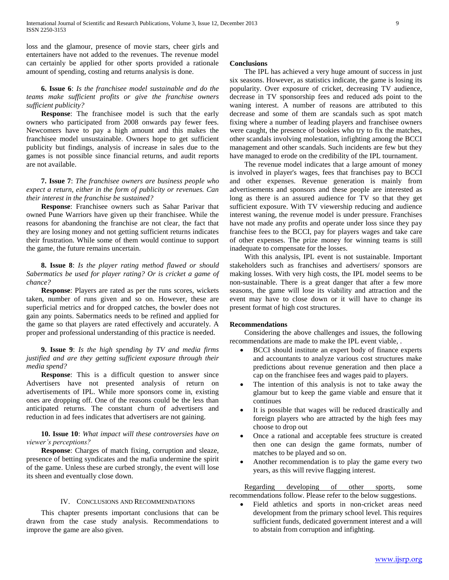loss and the glamour, presence of movie stars, cheer girls and entertainers have not added to the revenues. The revenue model can certainly be applied for other sports provided a rationale amount of spending, costing and returns analysis is done.

# **6. Issue 6**: *Is the franchisee model sustainable and do the teams make sufficient profits or give the franchise owners sufficient publicity?*

 **Response**: The franchisee model is such that the early owners who participated from 2008 onwards pay fewer fees. Newcomers have to pay a high amount and this makes the franchisee model unsustainable. Owners hope to get sufficient publicity but findings, analysis of increase in sales due to the games is not possible since financial returns, and audit reports are not available.

 **7. Issue 7**: *The franchisee owners are business people who expect a return, either in the form of publicity or revenues. Can their interest in the franchise be sustained?*

 **Response**: Franchisee owners such as Sahar Parivar that owned Pune Warriors have given up their franchisee. While the reasons for abandoning the franchise are not clear, the fact that they are losing money and not getting sufficient returns indicates their frustration. While some of them would continue to support the game, the future remains uncertain.

 **8. Issue 8**: *Is the player rating method flawed or should Sabermatics be used for player rating? Or is cricket a game of chance?*

 **Response**: Players are rated as per the runs scores, wickets taken, number of runs given and so on. However, these are superficial metrics and for dropped catches, the bowler does not gain any points. Sabermatics needs to be refined and applied for the game so that players are rated effectively and accurately. A proper and professional understanding of this practice is needed.

## **9. Issue 9**: *Is the high spending by TV and media firms justified and are they getting sufficient exposure through their media spend?*

 **Response**: This is a difficult question to answer since Advertisers have not presented analysis of return on advertisements of IPL. While more sponsors come in, existing ones are dropping off. One of the reasons could be the less than anticipated returns. The constant churn of advertisers and reduction in ad fees indicates that advertisers are not gaining.

# **10. Issue 10**: *What impact will these controversies have on viewer's perceptions?*

 **Response**: Charges of match fixing, corruption and sleaze, presence of betting syndicates and the mafia undermine the spirit of the game. Unless these are curbed strongly, the event will lose its sheen and eventually close down.

## IV. CONCLUSIONS AND RECOMMENDATIONS

 This chapter presents important conclusions that can be drawn from the case study analysis. Recommendations to improve the game are also given.

## **Conclusions**

 The IPL has achieved a very huge amount of success in just six seasons. However, as statistics indicate, the game is losing its popularity. Over exposure of cricket, decreasing TV audience, decrease in TV sponsorship fees and reduced ads point to the waning interest. A number of reasons are attributed to this decrease and some of them are scandals such as spot match fixing where a number of leading players and franchisee owners were caught, the presence of bookies who try to fix the matches, other scandals involving molestation, infighting among the BCCI management and other scandals. Such incidents are few but they have managed to erode on the credibility of the IPL tournament.

 The revenue model indicates that a large amount of money is involved in player's wages, fees that franchises pay to BCCI and other expenses. Revenue generation is mainly from advertisements and sponsors and these people are interested as long as there is an assured audience for TV so that they get sufficient exposure. With TV viewership reducing and audience interest waning, the revenue model is under pressure. Franchises have not made any profits and operate under loss since they pay franchise fees to the BCCI, pay for players wages and take care of other expenses. The prize money for winning teams is still inadequate to compensate for the losses.

 With this analysis, IPL event is not sustainable. Important stakeholders such as franchises and advertisers/ sponsors are making losses. With very high costs, the IPL model seems to be non-sustainable. There is a great danger that after a few more seasons, the game will lose its viability and attraction and the event may have to close down or it will have to change its present format of high cost structures.

## **Recommendations**

 Considering the above challenges and issues, the following recommendations are made to make the IPL event viable, .

- BCCI should institute an expert body of finance experts and accountants to analyze various cost structures make predictions about revenue generation and then place a cap on the franchisee fees and wages paid to players.
- The intention of this analysis is not to take away the glamour but to keep the game viable and ensure that it continues
- It is possible that wages will be reduced drastically and foreign players who are attracted by the high fees may choose to drop out
- Once a rational and acceptable fees structure is created then one can design the game formats, number of matches to be played and so on.
- Another recommendation is to play the game every two years, as this will revive flagging interest.

 Regarding developing of other sports, some recommendations follow. Please refer to the below suggestions.

 Field athletics and sports in non-cricket areas need development from the primary school level. This requires sufficient funds, dedicated government interest and a will to abstain from corruption and infighting.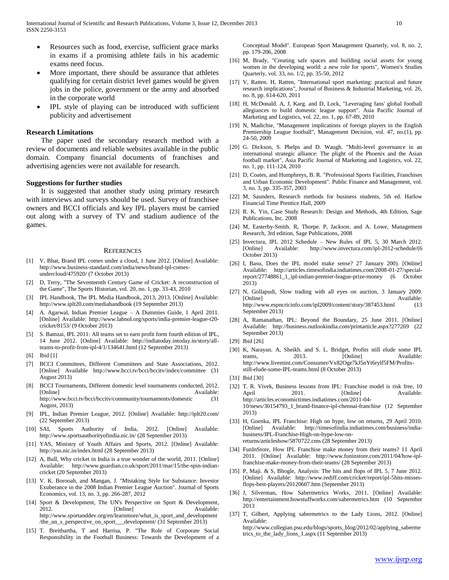- Resources such as food, exercise, sufficient grace marks in exams if a promising athlete fails in his academic exams need focus.
- More important, there should be assurance that athletes qualifying for certain district level games would be given jobs in the police, government or the army and absorbed in the corporate world
- IPL style of playing can be introduced with sufficient publicity and advertisement

### **Research Limitations**

 The paper used the secondary research method with a review of documents and reliable websites available in the public domain. Company financial documents of franchises and advertising agencies were not available for research.

#### **Suggestions for further studies**

 It is suggested that another study using primary research with interviews and surveys should be used. Survey of franchisee owners and BCCI officials and key IPL players must be carried out along with a survey of TV and stadium audience of the games.

#### **REFERENCES**

- [1] V, Bhat, Brand IPL comes under a cloud, 1 June 2012. [Online] Available: http://www.business-standard.com/india/news/brand-ipl-comesundercloud/475920/ (7 October 2013)
- [2] D, Terry, "The Seventeenth Century Game of Cricket: A reconstruction of the Game", The Sports Historian, vol. 20, no. 1, pp. 33-43, 2010
- IPL Handbook, The IPL Media Handbook, 2013, 2013. [Online] Available: http://www.iplt20.com/mediahandbook (19 September 2013)
- [4] A. Agarwal, Indian Premier League A Dummies Guide, 1 April 2011. [Online] Available: http://www.labnol.org/sports/india-premier-league-t20 cricket/8153/ (9 October 2013)
- [5] S. Bamzai, IPL 2011: All teams set to earn profit form fourth edition of IPL, 14 June 2012. [Online] Available: http://indiatoday.intoday.in/story/allteams-to-profit-from-ipl-4/1/134641.html (12 September 2013)
- [6] **Ibid** [1]
- [7] BCCI Committees, Different Committees and State Associations, 2012. [Online] Available http://www.bcci.tv/bcci/bccitv/index/committee (31 August 2013)
- [8] BCCI Tournaments, Different domestic level tournaments conducted, 2012. [Online] Available: http://www.bcci.tv/bcci/bccitv/community/tournaments/domestic (31 August, 2013)
- [9] IPL, Indian Premier League, 2012. [Online] Available: http://iplt20.com/ (22 September 2013)
- [10] SAI, Sports Authority of India, 2012. [Online] Available: http://www.sportsauthorityofindia.nic.in/ (28 September 2013)
- [11] YAS, Ministry of Youth Affairs and Sports, 2012. [Online] Available: http://yas.nic.in/index.html (28 September 2013)
- [12] A, Bull, Why cricket in India is a true wonder of the world, 2011. [Online] Available: http://www.guardian.co.uk/sport/2011/mar/15/the-spin-indiancricket (20 September 2013)
- [13] V. K. Borooah, and Mangan, J. "Mistaking Style for Substance: Investor Exuberance in the 2008 Indian Premier League Auction". Journal of Sports Economics, vol. 13, no. 3, pp. 266-287, 2012
- [14] Sport & Development, The UN's Perspective on Sport & Development, 2012. **Communist Communist Communist Example 3** Available: http://www.sportanddev.org/en/learnmore/what\_is\_sport\_and\_development /the\_un\_s\_perspective\_on\_sport\_\_\_development/ (31 September 2013)
- [15] T. Breitbartha, T and Harrisa, P. "The Role of Corporate Social Responsibility in the Football Business: Towards the Development of a

Conceptual Model". European Sport Management Quarterly, vol. 8, no. 2, pp. 179-206, 2008

- [16] M, Brady, "Creating safe spaces and building social assets for young women in the developing world: a new role for sports", Women's Studies Quarterly, vol. 33, no. 1/2, pp. 35-50, 2012
- [17] V, Ratten. H, Ratten, "International sport marketing: practical and future research implications", Journal of Business & Industrial Marketing, vol. 26, no. 8, pp. 614-620, 2011
- [18] H, McDonald. A, J, Karg. and D, Lock, "Leveraging fans' global football allegiances to build domestic league support". Asia Pacific Journal of Marketing and Logistics, vol. 22, no. 1, pp. 67-89, 2010
- [19] N, Madichie, "Management implications of foreign players in the English Premiership League football", Management Decision, vol. 47, no.(1), pp. 24-50, 2009
- [20] G. Dickson, S. Phelps and D. Waugh. "Multi-level governance in an international strategic alliance: The plight of the Phoenix and the Asian football market". Asia Pacific Journal of Marketing and Logistics, vol. 22, no. 1, pp. 111-124, 2010
- [21] D, Coates, and Humphreys, B. R. "Professional Sports Facilities, Franchises and Urban Economic Development". Public Finance and Management, vol. 3, no. 3, pp. 335-357, 2003
- [22] M, Saunders, Research methods for business students, 5th ed. Harlow Financial Time Prentice Hall, 2009
- [23] R. K. Yin, Case Study Research: Design and Methods, 4th Edition, Sage Publications, Inc. 2008
- [24] M, Easterby-Smith. R, Thorpe. P, Jackson. and A. Lowe, Management Research, 3rd edition, Sage Publications, 2008
- [25] Invectura, IPL 2012 Schedule New Rules of IPL 5, 30 March 2012. [Online] Available: http://www.invectura.com/ipl-2012-schedule/(6 October 2013)
- [26] I, Basu, Does the IPL model make sense? 27 January 200). [Online] Available: http://articles.timesofindia.indiatimes.com/2008-01-27/specialreport/27748861\_1\_ipl-indian-premier-league-prize-money (6 October 2013)
- [27] N, Gollapudi, Slow trading with all eyes on auction, 3 January 2009. [Online] **Available:** Available: http://www.espncricinfo.com/ipl2009/content/story/387453.html (13 September 2013)
- [28] A, Ramanathan, IPL: Beyond the Boundary, 25 June 2011. [Online] Available: http://business.outlookindia.com/printarticle.aspx?277269 (22 September 2013)
- [29] Ibid [26]
- [30] K, Narayan. A, Sheikh. and S. L. Bridget, Profits still elude some IPL teams, 2013. [Online] Available: http://www.livemint.com/Consumer/Vx82Oge7kJ5nYt6rylf5FM/Profitsstill-elude-some-IPL-teams.html (8 October 2013)
- [31] Ibid [30]
- [32] T. R. Vivek, Business lessons from IPL: Franchise model is risk free, 10 April 2011. [Online] Available: http://articles.economictimes.indiatimes.com/2011-04- 10/news/30154793\_1\_brand-finance-ipl-chennai-franchise (12 September 2013)
- [33] H, Goenka, IPL Franchise: High on hype, low on returns, 29 April 2010. [Online] Available: http://timesofindia.indiatimes.com/business/indiabusiness/IPL-Franchise-High-on-hype-low-onreturns/articleshow/5870722.cms (28 September 2013)
- [34] FunInStore, How IPL Franchise make money from their teams? 11 April 2011. [Online] Available: http://www.funinstore.com/2011/04/how-iplfranchise-make-money-from-their-teams/ (28 September 2013)
- [35] P, Maji. & S, Bhogle, Analysis: The hits and flops of IPL 5, 7 June 2012. [Online] Available: http://www.rediff.com/cricket/report/ipl-5hits-missesflops-best-players/20120607.htm (September 2013)
- [36] J, Silverman, How Sabermetrics Works, 2011. [Online] Available: http://entertainment.howstuffworks.com/sabermetrics.htm (10 September 2013
- [37] T, Gilbert, Applying sabermetrics to the Lady Lions, 2012. [Online] Available:

http://www.collegian.psu.edu/blogs/sports\_blog/2012/02/applying\_saberme trics\_to\_the\_lady\_lions\_1.aspx (11 September 2013)